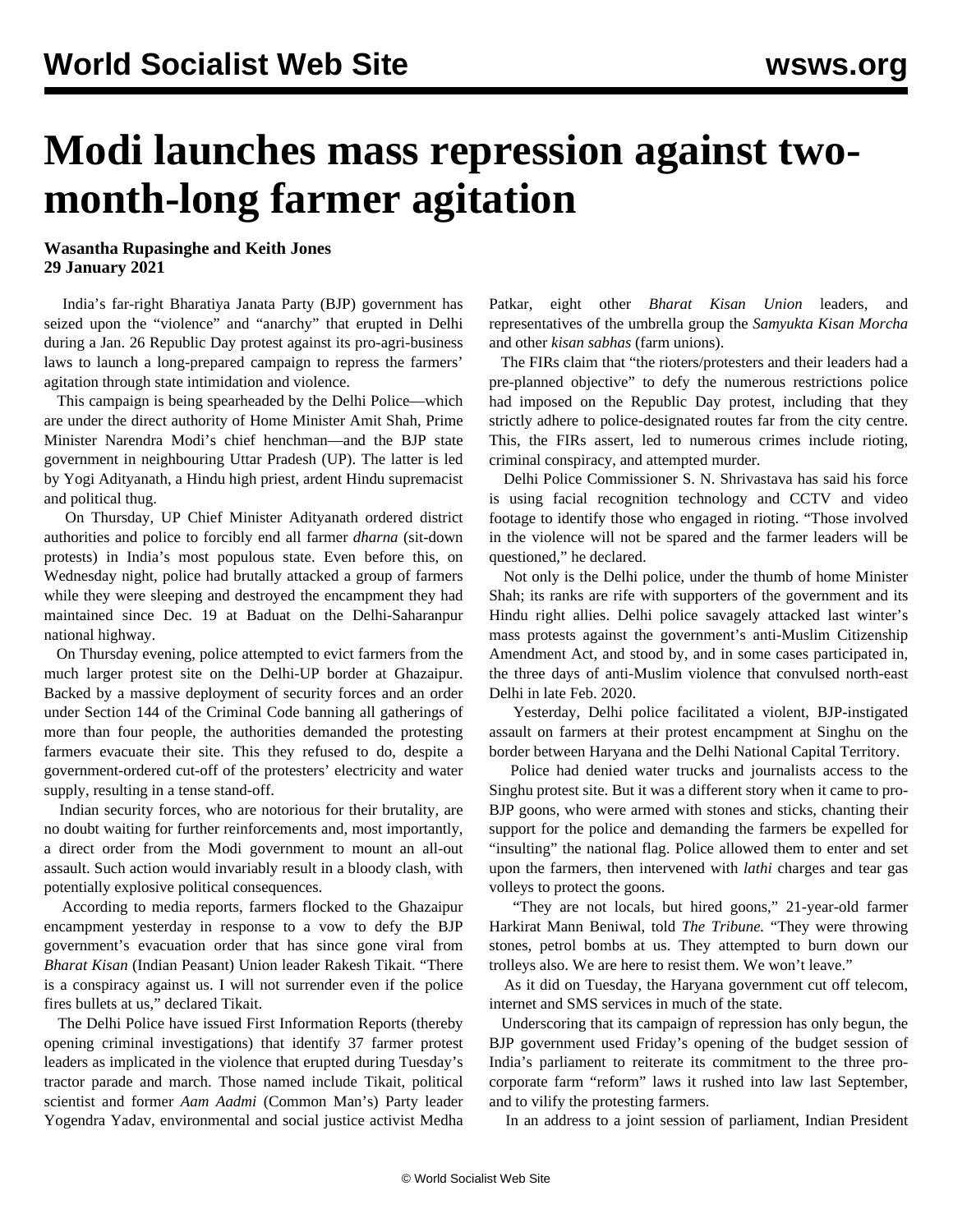## **Modi launches mass repression against twomonth-long farmer agitation**

## **Wasantha Rupasinghe and Keith Jones 29 January 2021**

 India's far-right Bharatiya Janata Party (BJP) government has seized upon the "violence" and "anarchy" that erupted in Delhi during a Jan. 26 Republic Day protest against its pro-agri-business laws to launch a long-prepared campaign to repress the farmers' agitation through state intimidation and violence.

 This campaign is being spearheaded by the Delhi Police—which are under the direct authority of Home Minister Amit Shah, Prime Minister Narendra Modi's chief henchman—and the BJP state government in neighbouring Uttar Pradesh (UP). The latter is led by Yogi Adityanath, a Hindu high priest, ardent Hindu supremacist and political thug.

 On Thursday, UP Chief Minister Adityanath ordered district authorities and police to forcibly end all farmer *dharna* (sit-down protests) in India's most populous state. Even before this, on Wednesday night, police had brutally attacked a group of farmers while they were sleeping and destroyed the encampment they had maintained since Dec. 19 at Baduat on the Delhi-Saharanpur national highway.

 On Thursday evening, police attempted to evict farmers from the much larger protest site on the Delhi-UP border at Ghazaipur. Backed by a massive deployment of security forces and an order under Section 144 of the Criminal Code banning all gatherings of more than four people, the authorities demanded the protesting farmers evacuate their site. This they refused to do, despite a government-ordered cut-off of the protesters' electricity and water supply, resulting in a tense stand-off.

 Indian security forces, who are notorious for their brutality, are no doubt waiting for further reinforcements and, most importantly, a direct order from the Modi government to mount an all-out assault. Such action would invariably result in a bloody clash, with potentially explosive political consequences.

 According to media reports, farmers flocked to the Ghazaipur encampment yesterday in response to a vow to defy the BJP government's evacuation order that has since gone viral from *Bharat Kisan* (Indian Peasant) Union leader Rakesh Tikait. "There is a conspiracy against us. I will not surrender even if the police fires bullets at us," declared Tikait.

 The Delhi Police have issued First Information Reports (thereby opening criminal investigations) that identify 37 farmer protest leaders as implicated in the violence that erupted during Tuesday's tractor parade and march. Those named include Tikait, political scientist and former *Aam Aadmi* (Common Man's) Party leader Yogendra Yadav, environmental and social justice activist Medha

Patkar, eight other *Bharat Kisan Union* leaders, and representatives of the umbrella group the *Samyukta Kisan Morcha* and other *kisan sabhas* (farm unions).

 The FIRs claim that "the rioters/protesters and their leaders had a pre-planned objective" to defy the numerous restrictions police had imposed on the Republic Day protest, including that they strictly adhere to police-designated routes far from the city centre. This, the FIRs assert, led to numerous crimes include rioting, criminal conspiracy, and attempted murder.

 Delhi Police Commissioner S. N. Shrivastava has said his force is using facial recognition technology and CCTV and video footage to identify those who engaged in rioting. "Those involved in the violence will not be spared and the farmer leaders will be questioned," he declared.

 Not only is the Delhi police, under the thumb of home Minister Shah; its ranks are rife with supporters of the government and its Hindu right allies. Delhi police savagely attacked last winter's mass protests against the government's anti-Muslim Citizenship Amendment Act, and stood by, and in some cases participated in, the three days of anti-Muslim violence that convulsed north-east Delhi in late Feb. 2020.

 Yesterday, Delhi police facilitated a violent, BJP-instigated assault on farmers at their protest encampment at Singhu on the border between Haryana and the Delhi National Capital Territory.

 Police had denied water trucks and journalists access to the Singhu protest site. But it was a different story when it came to pro-BJP goons, who were armed with stones and sticks, chanting their support for the police and demanding the farmers be expelled for "insulting" the national flag. Police allowed them to enter and set upon the farmers, then intervened with *lathi* charges and tear gas volleys to protect the goons.

 "They are not locals, but hired goons," 21-year-old farmer Harkirat Mann Beniwal, told *The Tribune.* "They were throwing stones, petrol bombs at us. They attempted to burn down our trolleys also. We are here to resist them. We won't leave."

 As it did on Tuesday, the Haryana government cut off telecom, internet and SMS services in much of the state.

 Underscoring that its campaign of repression has only begun, the BJP government used Friday's opening of the budget session of India's parliament to reiterate its commitment to the three procorporate farm "reform" laws it rushed into law last September, and to vilify the protesting farmers.

In an address to a joint session of parliament, Indian President